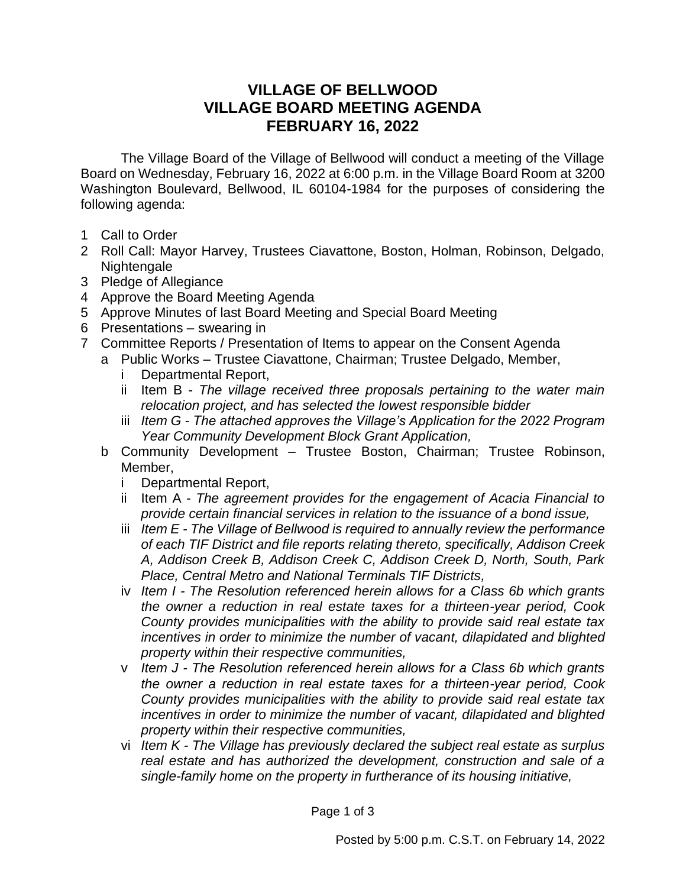## **VILLAGE OF BELLWOOD VILLAGE BOARD MEETING AGENDA FEBRUARY 16, 2022**

The Village Board of the Village of Bellwood will conduct a meeting of the Village Board on Wednesday, February 16, 2022 at 6:00 p.m. in the Village Board Room at 3200 Washington Boulevard, Bellwood, IL 60104-1984 for the purposes of considering the following agenda:

- 1 Call to Order
- 2 Roll Call: Mayor Harvey, Trustees Ciavattone, Boston, Holman, Robinson, Delgado, Nightengale
- 3 Pledge of Allegiance
- 4 Approve the Board Meeting Agenda
- 5 Approve Minutes of last Board Meeting and Special Board Meeting
- 6 Presentations swearing in
- 7 Committee Reports / Presentation of Items to appear on the Consent Agenda
	- a Public Works Trustee Ciavattone, Chairman; Trustee Delgado, Member,
		- i Departmental Report,
		- ii Item B *The village received three proposals pertaining to the water main relocation project, and has selected the lowest responsible bidder*
		- iii *Item G - The attached approves the Village's Application for the 2022 Program Year Community Development Block Grant Application,*
	- b Community Development Trustee Boston, Chairman; Trustee Robinson, Member,
		- i Departmental Report,
		- ii Item A *The agreement provides for the engagement of Acacia Financial to provide certain financial services in relation to the issuance of a bond issue,*
		- iii *Item E - The Village of Bellwood is required to annually review the performance of each TIF District and file reports relating thereto, specifically, Addison Creek A, Addison Creek B, Addison Creek C, Addison Creek D, North, South, Park Place, Central Metro and National Terminals TIF Districts,*
		- iv *Item I - The Resolution referenced herein allows for a Class 6b which grants the owner a reduction in real estate taxes for a thirteen-year period, Cook County provides municipalities with the ability to provide said real estate tax incentives in order to minimize the number of vacant, dilapidated and blighted property within their respective communities,*
		- v *Item J - The Resolution referenced herein allows for a Class 6b which grants the owner a reduction in real estate taxes for a thirteen-year period, Cook County provides municipalities with the ability to provide said real estate tax incentives in order to minimize the number of vacant, dilapidated and blighted property within their respective communities,*
		- vi *Item K - The Village has previously declared the subject real estate as surplus real estate and has authorized the development, construction and sale of a single-family home on the property in furtherance of its housing initiative,*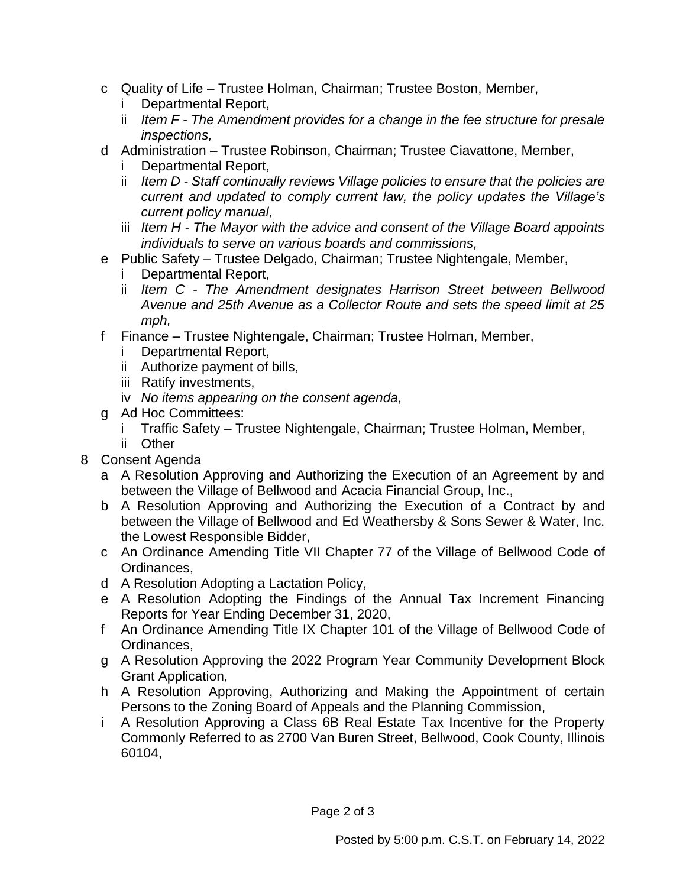- c Quality of Life Trustee Holman, Chairman; Trustee Boston, Member,
	- i Departmental Report,
	- ii *Item F - The Amendment provides for a change in the fee structure for presale inspections,*
- d Administration Trustee Robinson, Chairman; Trustee Ciavattone, Member, i Departmental Report,
	- ii *Item D - Staff continually reviews Village policies to ensure that the policies are current and updated to comply current law, the policy updates the Village's current policy manual,*
	- iii *Item H - The Mayor with the advice and consent of the Village Board appoints individuals to serve on various boards and commissions,*
- e Public Safety Trustee Delgado, Chairman; Trustee Nightengale, Member,
	- Departmental Report,
	- ii *Item C - The Amendment designates Harrison Street between Bellwood Avenue and 25th Avenue as a Collector Route and sets the speed limit at 25 mph,*
- f Finance Trustee Nightengale, Chairman; Trustee Holman, Member,
	- i Departmental Report,
	- ii Authorize payment of bills,
	- iii Ratify investments,
	- iv *No items appearing on the consent agenda,*
- g Ad Hoc Committees:
	- i Traffic Safety Trustee Nightengale, Chairman; Trustee Holman, Member,
	- ii Other
- 8 Consent Agenda
	- a A Resolution Approving and Authorizing the Execution of an Agreement by and between the Village of Bellwood and Acacia Financial Group, Inc.,
	- b A Resolution Approving and Authorizing the Execution of a Contract by and between the Village of Bellwood and Ed Weathersby & Sons Sewer & Water, Inc. the Lowest Responsible Bidder,
	- c An Ordinance Amending Title VII Chapter 77 of the Village of Bellwood Code of Ordinances,
	- d A Resolution Adopting a Lactation Policy,
	- e A Resolution Adopting the Findings of the Annual Tax Increment Financing Reports for Year Ending December 31, 2020,
	- f An Ordinance Amending Title IX Chapter 101 of the Village of Bellwood Code of Ordinances,
	- g A Resolution Approving the 2022 Program Year Community Development Block Grant Application,
	- h A Resolution Approving, Authorizing and Making the Appointment of certain Persons to the Zoning Board of Appeals and the Planning Commission,
	- i A Resolution Approving a Class 6B Real Estate Tax Incentive for the Property Commonly Referred to as 2700 Van Buren Street, Bellwood, Cook County, Illinois 60104,